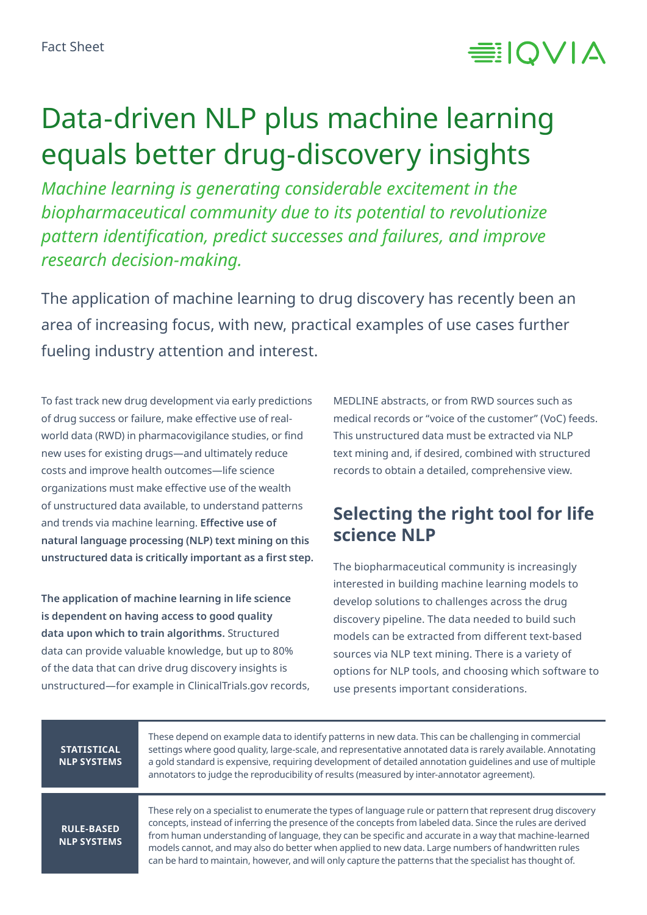

# Data-driven NLP plus machine learning equals better drug-discovery insights

*Machine learning is generating considerable excitement in the biopharmaceutical community due to its potential to revolutionize pattern identification, predict successes and failures, and improve research decision-making.*

The application of machine learning to drug discovery has recently been an area of increasing focus, with new, practical examples of use cases further fueling industry attention and interest.

To fast track new drug development via early predictions of drug success or failure, make effective use of realworld data (RWD) in pharmacovigilance studies, or find new uses for existing drugs—and ultimately reduce costs and improve health outcomes—life science organizations must make effective use of the wealth of unstructured data available, to understand patterns and trends via machine learning. **Effective use of natural language processing (NLP) text mining on this unstructured data is critically important as a first step.**

**The application of machine learning in life science is dependent on having access to good quality data upon which to train algorithms.** Structured data can provide valuable knowledge, but up to 80% of the data that can drive drug discovery insights is unstructured—for example in ClinicalTrials.gov records,

MEDLINE abstracts, or from RWD sources such as medical records or "voice of the customer" (VoC) feeds. This unstructured data must be extracted via NLP text mining and, if desired, combined with structured records to obtain a detailed, comprehensive view.

#### **Selecting the right tool for life science NLP**

The biopharmaceutical community is increasingly interested in building machine learning models to develop solutions to challenges across the drug discovery pipeline. The data needed to build such models can be extracted from different text-based sources via NLP text mining. There is a variety of options for NLP tools, and choosing which software to use presents important considerations.

| <b>STATISTICAL</b><br><b>NLP SYSTEMS</b> | These depend on example data to identify patterns in new data. This can be challenging in commercial<br>settings where good quality, large-scale, and representative annotated data is rarely available. Annotating<br>a gold standard is expensive, requiring development of detailed annotation quidelines and use of multiple<br>annotators to judge the reproducibility of results (measured by inter-annotator agreement).                                                                                                                      |
|------------------------------------------|------------------------------------------------------------------------------------------------------------------------------------------------------------------------------------------------------------------------------------------------------------------------------------------------------------------------------------------------------------------------------------------------------------------------------------------------------------------------------------------------------------------------------------------------------|
| <b>RULE-BASED</b><br><b>NLP SYSTEMS</b>  | These rely on a specialist to enumerate the types of language rule or pattern that represent drug discovery<br>concepts, instead of inferring the presence of the concepts from labeled data. Since the rules are derived<br>from human understanding of language, they can be specific and accurate in a way that machine-learned<br>models cannot, and may also do better when applied to new data. Large numbers of handwritten rules<br>can be hard to maintain, however, and will only capture the patterns that the specialist has thought of. |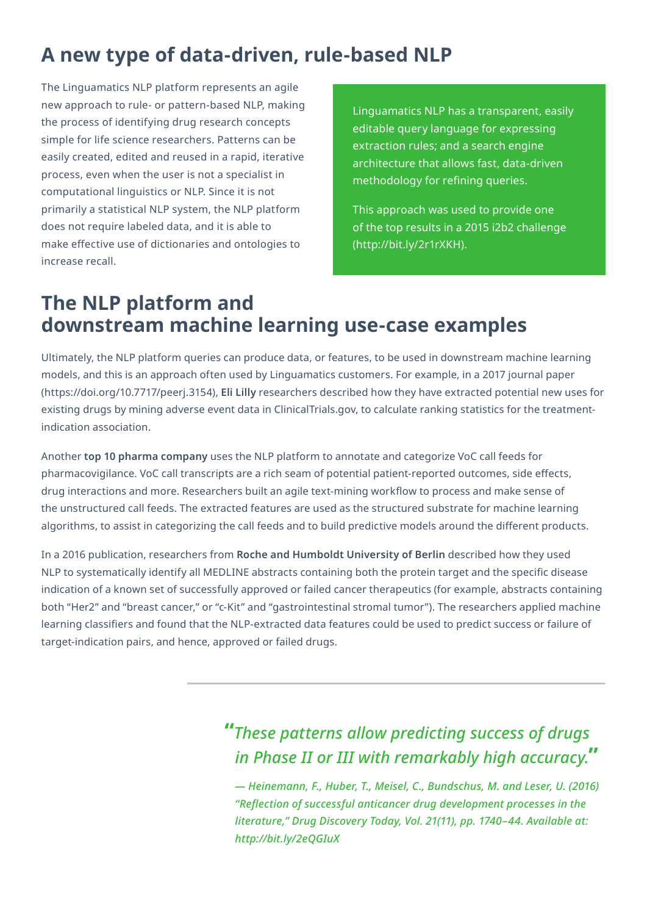# **A new type of data-driven, rule-based NLP**

The Linguamatics NLP platform represents an agile new approach to rule- or pattern-based NLP, making the process of identifying drug research concepts simple for life science researchers. Patterns can be easily created, edited and reused in a rapid, iterative process, even when the user is not a specialist in computational linguistics or NLP. Since it is not primarily a statistical NLP system, the NLP platform does not require labeled data, and it is able to make effective use of dictionaries and ontologies to increase recall.

Linguamatics NLP has a transparent, easily editable query language for expressing extraction rules; and a search engine architecture that allows fast, data-driven methodology for refining queries.

This approach was used to provide one of the top results in a 2015 i2b2 challenge (<http://bit.ly/2r1rXKH>).

## **The NLP platform and downstream machine learning use-case examples**

Ultimately, the NLP platform queries can produce data, or features, to be used in downstream machine learning models, and this is an approach often used by Linguamatics customers. For example, in a 2017 journal paper (<https://doi.org/10.7717/peerj.3154>), **Eli Lilly** researchers described how they have extracted potential new uses for existing drugs by mining adverse event data in ClinicalTrials.gov, to calculate ranking statistics for the treatmentindication association.

Another **top 10 pharma company** uses the NLP platform to annotate and categorize VoC call feeds for pharmacovigilance. VoC call transcripts are a rich seam of potential patient-reported outcomes, side effects, drug interactions and more. Researchers built an agile text-mining workflow to process and make sense of the unstructured call feeds. The extracted features are used as the structured substrate for machine learning algorithms, to assist in categorizing the call feeds and to build predictive models around the different products.

In a 2016 publication, researchers from **Roche and Humboldt University of Berlin** described how they used NLP to systematically identify all MEDLINE abstracts containing both the protein target and the specific disease indication of a known set of successfully approved or failed cancer therapeutics (for example, abstracts containing both "Her2" and "breast cancer," or "c-Kit" and "gastrointestinal stromal tumor"). The researchers applied machine learning classifiers and found that the NLP-extracted data features could be used to predict success or failure of target-indication pairs, and hence, approved or failed drugs.

> **"***These patterns allow predicting success of drugs in Phase II or III with remarkably high accuracy.***"**

*— Heinemann, F., Huber, T., Meisel, C., Bundschus, M. and Leser, U. (2016) "Reflection of successful anticancer drug development processes in the literature," Drug Discovery Today, Vol. 21(11), pp. 1740–44. Available at: <http://bit.ly/2eQGIuX>*